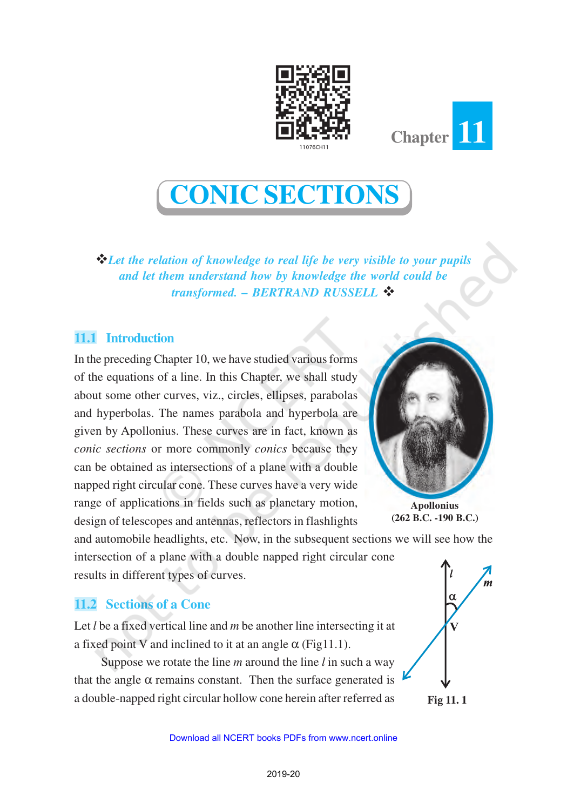



# **CONIC SECTIONS**

v*Let the relation of knowledge to real life be very visible to your pupils and let them understand how by knowledge the world could be transformed. – BERTRAND RUSSELL* v

# **11.1 Introduction**

In the preceding Chapter 10, we have studied various forms of the equations of a line. In this Chapter, we shall study about some other curves, viz., circles, ellipses, parabolas and hyperbolas. The names parabola and hyperbola are given by Apollonius. These curves are in fact, known as *conic sections* or more commonly *conics* because they can be obtained as intersections of a plane with a double napped right circular cone. These curves have a very wide range of applications in fields such as planetary motion, design of telescopes and antennas, reflectors in flashlights



**Apollonius (262 B.C. -190 B.C.)**

and automobile headlights, etc. Now, in the subsequent sections we will see how the intersection of a plane with a double napped right circular cone results in different types of curves.

## **11.2 Sections of a Cone**

Let *l* be a fixed vertical line and *m* be another line intersecting it at a fixed point V and inclined to it at an angle  $\alpha$  (Fig11.1).

Suppose we rotate the line *m* around the line *l* in such a way that the angle  $\alpha$  remains constant. Then the surface generated is a double-napped right circular hollow cone herein after referred as



**Fig 11. 1**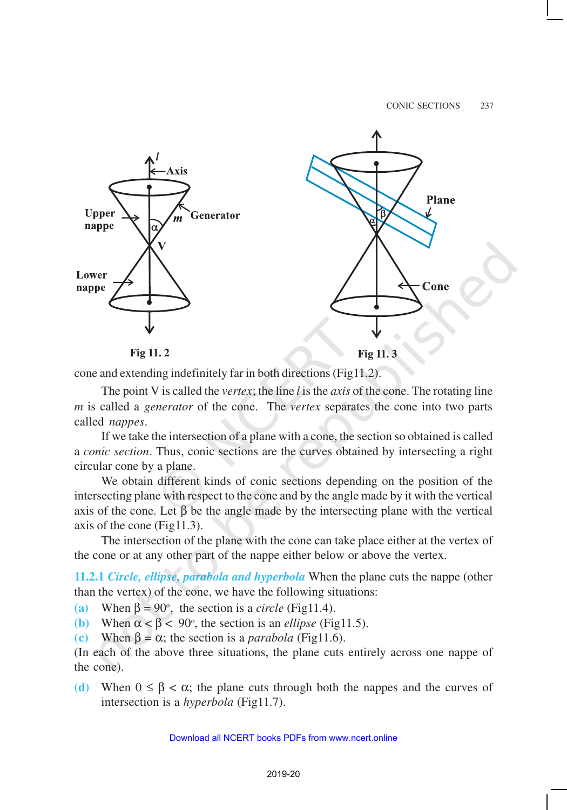





cone and extending indefinitely far in both directions (Fig11.2).

The point V is called the *vertex*; the line *l* is the *axis* of the cone. The rotating line *m* is called a *generator* of the cone. The *vertex* separates the cone into two parts called *nappes*.

If we take the intersection of a plane with a cone, the section so obtained is called a *conic section*. Thus, conic sections are the curves obtained by intersecting a right circular cone by a plane.

We obtain different kinds of conic sections depending on the position of the intersecting plane with respect to the cone and by the angle made by it with the vertical axis of the cone. Let β be the angle made by the intersecting plane with the vertical axis of the cone (Fig11.3).

The intersection of the plane with the cone can take place either at the vertex of the cone or at any other part of the nappe either below or above the vertex.

**11.2.1** *Circle, ellipse, parabola and hyperbola* When the plane cuts the nappe (other than the vertex) of the cone, we have the following situations:

- (a) When  $\beta = 90^\circ$ , the section is a *circle* (Fig11.4).
- (b) When  $\alpha < \beta < 90^\circ$ , the section is an *ellipse* (Fig11.5).
- **(c)** When β = α; the section is a *parabola* (Fig11.6).

(In each of the above three situations, the plane cuts entirely across one nappe of the cone).

**(d)** When 0 ≤ β < α; the plane cuts through both the nappes and the curves of intersection is a *hyperbola* (Fig11.7).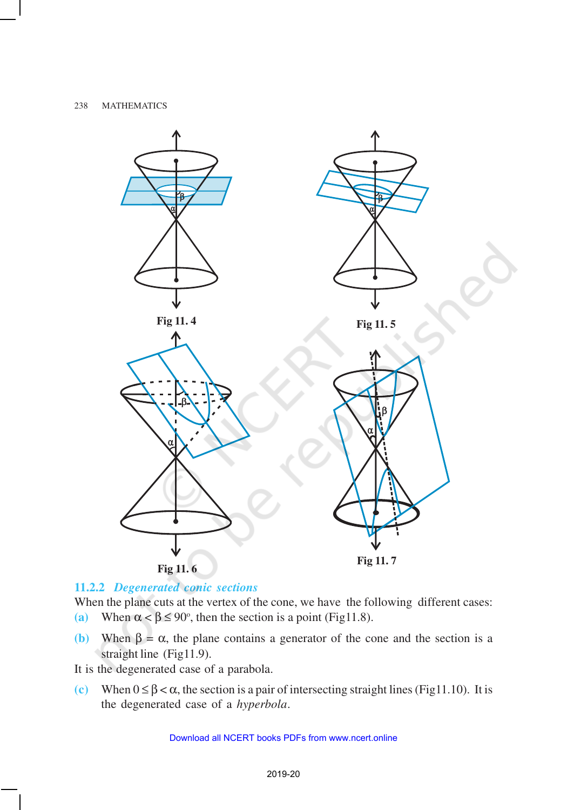

## **11.2.2** *Degenerated conic sections*

When the plane cuts at the vertex of the cone, we have the following different cases: (a) When  $\alpha < \beta \le 90^\circ$ , then the section is a point (Fig11.8).

- **(b)** When β = α, the plane contains a generator of the cone and the section is a straight line (Fig11.9).
- It is the degenerated case of a parabola.
- **(c)** When  $0 \leq \beta < \alpha$ , the section is a pair of intersecting straight lines (Fig11.10). It is the degenerated case of a *hyperbola*.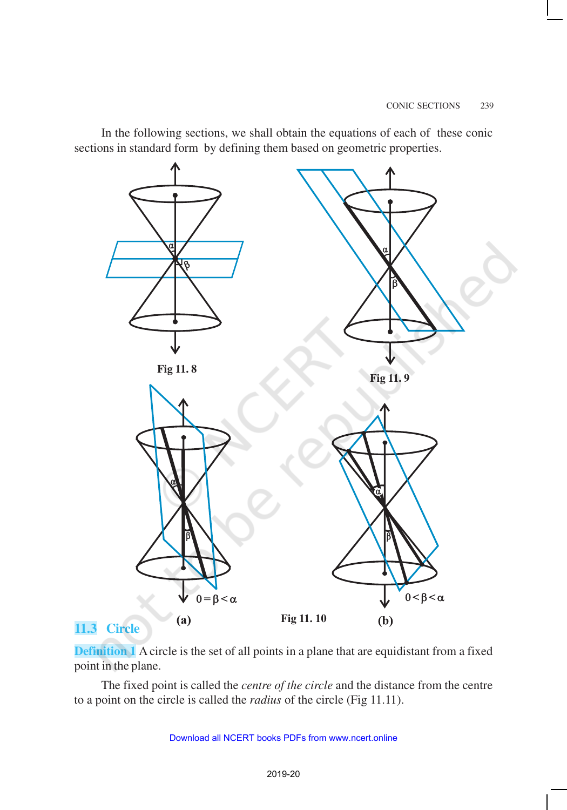In the following sections, we shall obtain the equations of each of these conic sections in standard form by defining them based on geometric properties.



**Definition 1** A circle is the set of all points in a plane that are equidistant from a fixed point in the plane.

The fixed point is called the *centre of the circle* and the distance from the centre to a point on the circle is called the *radius* of the circle (Fig 11.11).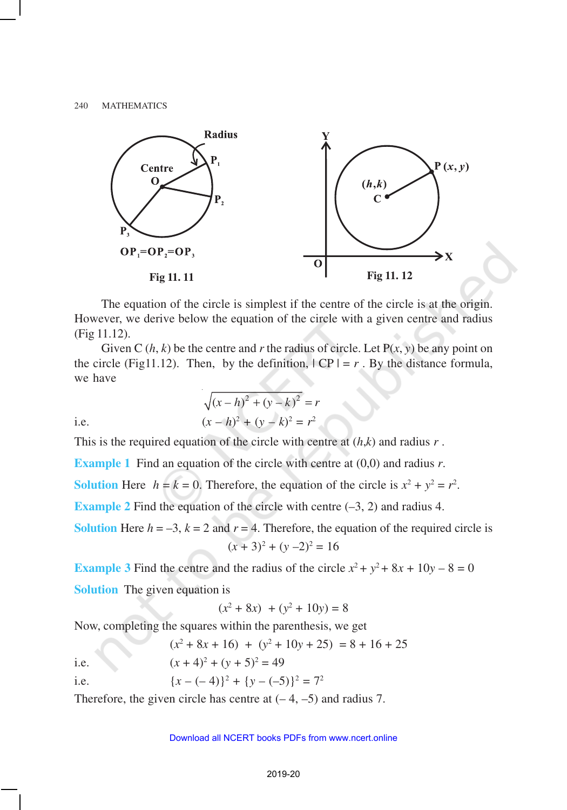

The equation of the circle is simplest if the centre of the circle is at the origin. However, we derive below the equation of the circle with a given centre and radius (Fig 11.12).

Given C  $(h, k)$  be the centre and *r* the radius of circle. Let  $P(x, y)$  be any point on the circle (Fig11.12). Then, by the definition,  $|CP| = r$ . By the distance formula, we have

i.e. 
$$
\sqrt{(x-h)^2 + (y-k)^2} = r
$$

$$
(x-h)^2 + (y-k)^2 = r^2
$$

This is the required equation of the circle with centre at (*h*,*k*) and radius *r* .

**Example 1** Find an equation of the circle with centre at (0,0) and radius *r*.

**Solution** Here  $h = k = 0$ . Therefore, the equation of the circle is  $x^2 + y^2 = r^2$ .

**Example 2** Find the equation of the circle with centre  $(-3, 2)$  and radius 4.

**Solution** Here  $h = -3$ ,  $k = 2$  and  $r = 4$ . Therefore, the equation of the required circle is  $(x + 3)^2 + (y - 2)^2 = 16$ 

**Example 3** Find the centre and the radius of the circle  $x^2 + y^2 + 8x + 10y - 8 = 0$ **Solution** The given equation is

$$
(x^2 + 8x) + (y^2 + 10y) = 8
$$

Now, completing the squares within the parenthesis, we get

i.e. 
$$
(x^2 + 8x + 16) + (y^2 + 10y + 25) = 8 + 16 + 25
$$

$$
(x + 4)^2 + (y + 5)^2 = 49
$$

i.e.  ${x-(-4)}^2 + {y-(-5)}^2 = 7^2$ 

Therefore, the given circle has centre at  $(-4, -5)$  and radius 7.

#### Download all NCERT books PDFs from [www.ncert.online](http://www.ncert.online)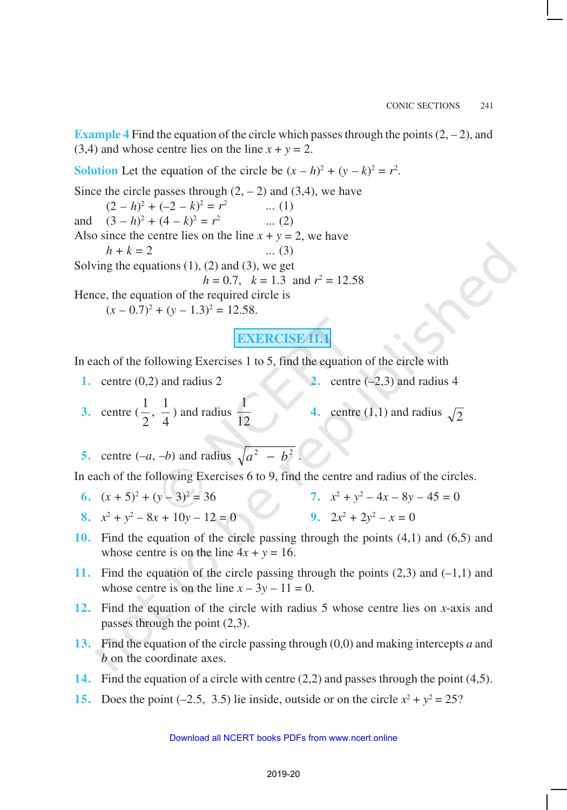**Example 4** Find the equation of the circle which passes through the points  $(2, -2)$ , and (3.4) and whose centre lies on the line  $x + y = 2$ .

**Solution** Let the equation of the circle be  $(x - h)^2 + (y - k)^2 = r^2$ .

Since the circle passes through  $(2, -2)$  and  $(3, 4)$ , we have  $(2 - h)^2 + (-2 - k)^2 = r^2$ ... (1) and  $(3-h)^2 + (4-k)^2 = r^2$ ... (2) Also since the centre lies on the line  $x + y = 2$ , we have  $h + k = 2$  ... (3) Solving the equations  $(1)$ ,  $(2)$  and  $(3)$ , we get  $h = 0.7$ ,  $k = 1.3$  and  $r^2 = 12.58$ Hence, the equation of the required circle is  $(x - 0.7)^2 + (y - 1.3)^2 = 12.58.$ 

**EXERCISE 11.1**

In each of the following Exercises 1 to 5, find the equation of the circle with

- **1.** centre (0,2) and radius 2 **2.** centre (–2,3) and radius 4
- **3.** centre ( 4  $\frac{1}{\cdot}$ 2  $\frac{1}{2}$ ,  $\frac{1}{4}$ ) and radius 12 1 **4.** centre (1,1) and radius  $\sqrt{2}$

**5.** centre  $(-a, -b)$  and radius  $\sqrt{a^2 - b^2}$ .

In each of the following Exercises 6 to 9, find the centre and radius of the circles.

- **6.**  $(x + 5)^2 + (y 3)^2$  $= 36$  7.  $x^2 + y^2 - 4x - 8y - 45 = 0$ **8.**  $x^2 + y^2 - 8x + 10y - 12 = 0$  **9.** 2*x*  $x^2 + 2y^2 - x = 0$
- **10.** Find the equation of the circle passing through the points (4,1) and (6,5) and whose centre is on the line  $4x + y = 16$ .
- **11.** Find the equation of the circle passing through the points (2,3) and (–1,1) and whose centre is on the line  $x - 3y - 11 = 0$ .
- **12.** Find the equation of the circle with radius 5 whose centre lies on *x*-axis and passes through the point (2,3).
- **13.** Find the equation of the circle passing through (0,0) and making intercepts *a* and *b* on the coordinate axes.
- **14.** Find the equation of a circle with centre (2,2) and passes through the point (4,5).
- **15.** Does the point  $(-2.5, 3.5)$  lie inside, outside or on the circle  $x^2 + y^2 = 25$ ?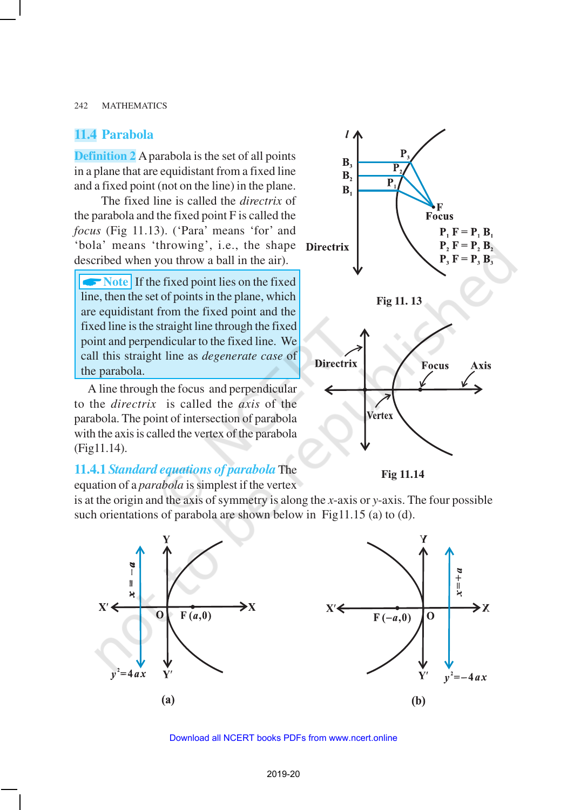## **11.4 Parabola**

**Definition 2** A parabola is the set of all points in a plane that are equidistant from a fixed line and a fixed point (not on the line) in the plane.

The fixed line is called the *directrix* of the parabola and the fixed point F is called the *focus* (Fig 11.13). ('Para' means 'for' and 'bola' means 'throwing', i.e., the shape described when you throw a ball in the air).

**Note** If the fixed point lies on the fixed line, then the set of points in the plane, which are equidistant from the fixed point and the fixed line is the straight line through the fixed point and perpendicular to the fixed line. We call this straight line as *degenerate case* of the parabola.

A line through the focus and perpendicular to the *directrix* is called the *axis* of the parabola. The point of intersection of parabola with the axis is called the vertex of the parabola (Fig11.14).

## **11.4.1** *Standard equations of parabola* The

equation of a *parabola* is simplest if the vertex

is at the origin and the axis of symmetry is along the *x*-axis or *y*-axis. The four possible such orientations of parabola are shown below in Fig11.15 (a) to (d).





**Fig 11.14**



Download all NCERT books PDFs from [www.ncert.online](http://www.ncert.online)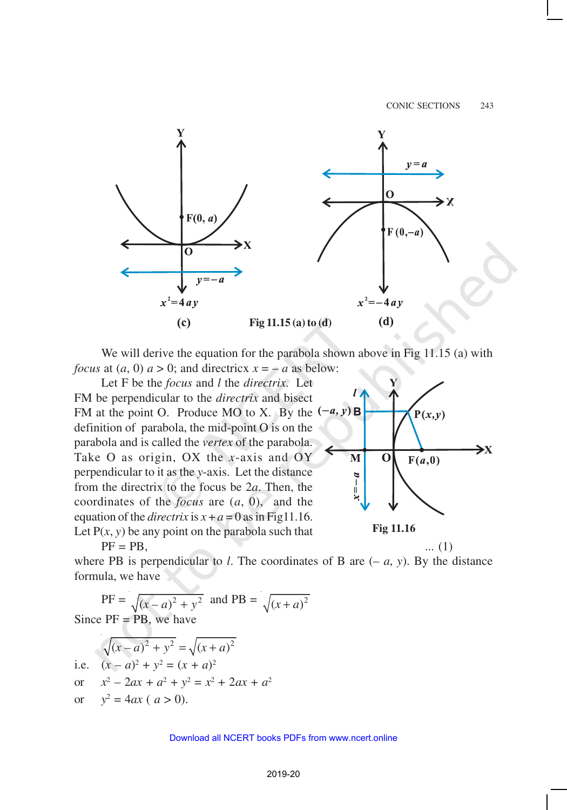

We will derive the equation for the parabola shown above in Fig 11.15 (a) with *focus* at  $(a, 0)$   $a > 0$ ; and directricx  $x = -a$  as below:

Let F be the *focus* and *l* the *directrix*. Let FM be perpendicular to the *directrix* and bisect FM at the point O. Produce MO to X. By the  $(-a, y)$  B definition of parabola, the mid-point O is on the parabola and is called the *vertex* of the parabola. Take O as origin, OX the *x*-axis and OY perpendicular to it as the *y*-axis. Let the distance from the directrix to the focus be 2*a*. Then, the coordinates of the *focus* are (*a*, 0), and the equation of the *directrix* is  $x + a = 0$  as in Fig11.16. Let  $P(x, y)$  be any point on the parabola such that



 $PF = PB$ , ... (1)

where PB is perpendicular to *l*. The coordinates of B are  $(-a, y)$ . By the distance formula, we have

$$
PF = \sqrt{(x-a)^2 + y^2}
$$
 and  $PB = \sqrt{(x+a)^2}$   
Since PF = PB, we have

i.e. 
$$
\sqrt{(x-a)^2 + y^2} = \sqrt{(x+a)^2}
$$
  
\nii.e. 
$$
(x-a)^2 + y^2 = (x+a)^2
$$
  
\nor 
$$
x^2 - 2ax + a^2 + y^2 = x^2 + 2ax + a^2
$$
  
\nor 
$$
y^2 = 4ax (a > 0).
$$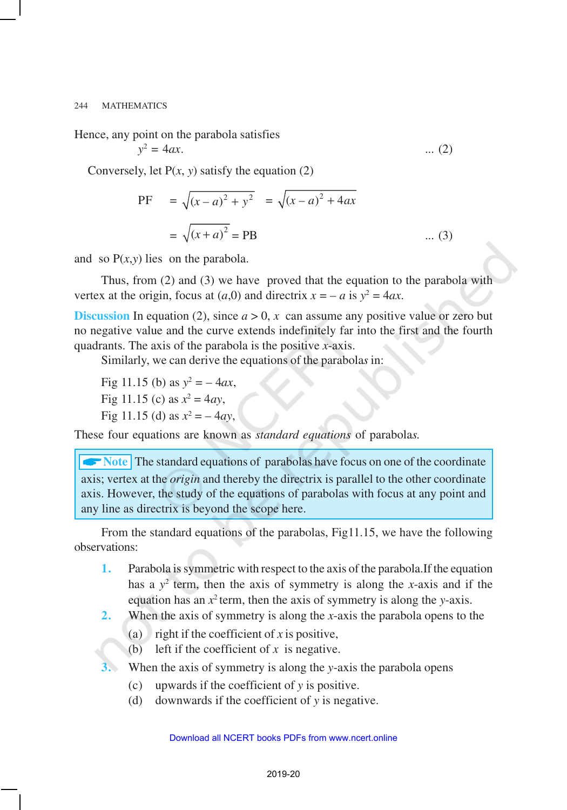Hence, any point on the parabola satisfies

$$
y^2 = 4ax.\tag{2}
$$

Conversely, let  $P(x, y)$  satisfy the equation (2)

PF = 
$$
\sqrt{(x-a)^2 + y^2}
$$
 =  $\sqrt{(x-a)^2 + 4ax}$   
=  $\sqrt{(x+a)^2}$  = PB ... (3)

and so  $P(x, y)$  lies on the parabola.

Thus, from (2) and (3) we have proved that the equation to the parabola with vertex at the origin, focus at  $(a,0)$  and directrix  $x = -a$  is  $y^2 = 4ax$ .

**Discussion** In equation (2), since  $a > 0$ , x can assume any positive value or zero but no negative value and the curve extends indefinitely far into the first and the fourth quadrants. The axis of the parabola is the positive *x*-axis.

Similarly, we can derive the equations of the parabola*s* in:

Fig 11.15 (b) as  $y^2 = -4ax$ , Fig 11.15 (c) as  $x^2 = 4ay$ , Fig 11.15 (d) as  $x^2 = -4ay$ ,

These four equations are known as *standard equations* of parabola*s.*

**And The standard equations of parabolas have focus on one of the coordinate** axis; vertex at the *origin* and thereby the directrix is parallel to the other coordinate axis. However, the study of the equations of parabolas with focus at any point and any line as directrix is beyond the scope here.

From the standard equations of the parabolas, Fig11.15, we have the following observations:

- **1.** Parabola is symmetric with respect to the axis of the parabola.If the equation has a  $y^2$  term, then the axis of symmetry is along the *x*-axis and if the equation has an  $x^2$  term, then the axis of symmetry is along the *y*-axis.
- **2.** When the axis of symmetry is along the *x*-axis the parabola opens to the
	- (a) right if the coefficient of  $x$  is positive,
	- (b) left if the coefficient of  $x$  is negative.
- **3.** When the axis of symmetry is along the *y*-axis the parabola opens
	- (c) upwards if the coefficient of *y* is positive.
	- (d) downwards if the coefficient of *y* is negative.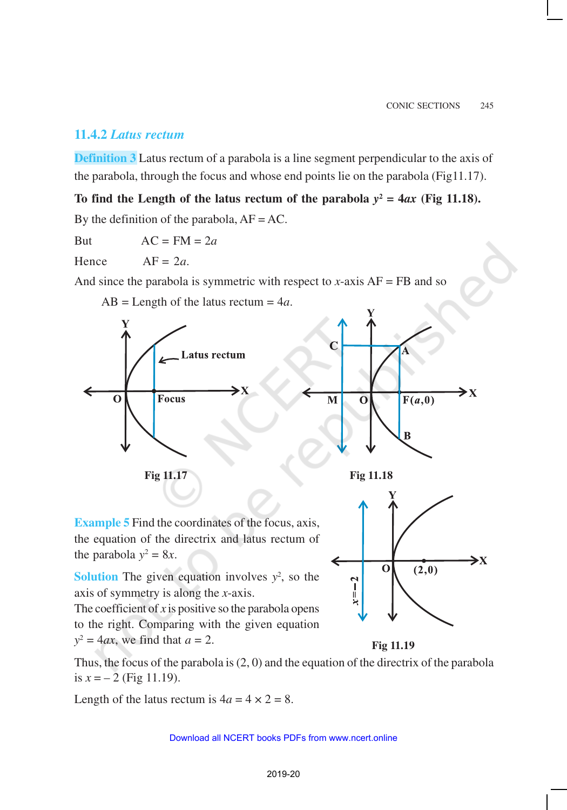## **11.4.2** *Latus rectum*

**Definition 3** Latus rectum of a parabola is a line segment perpendicular to the axis of the parabola, through the focus and whose end points lie on the parabola (Fig11.17).

## To find the Length of the latus rectum of the parabola  $y^2 = 4ax$  (Fig 11.18).

By the definition of the parabola,  $AF = AC$ .

But  $AC = FM = 2a$ 

Hence  $AF = 2a$ 

And since the parabola is symmetric with respect to *x*-axis  $AF = FB$  and so

AB = Length of the latus rectum = 4*a*.



the parabola  $y^2 = 8x$ .

**Solution** The given equation involves  $y^2$ , so the axis of symmetry is along the *x*-axis.

The coefficient of  $x$  is positive so the parabola opens to the right. Comparing with the given equation  $y^2 = 4ax$ , we find that  $a = 2$ .

**Fig 11.19**

 $\mathbf 0$ 

 $\mathbf{\tilde{c}}$  $\frac{1}{11}$ 

 $(2,0)$ 

 $\mathbf{\geq}$ 

Thus, the focus of the parabola is (2, 0) and the equation of the directrix of the parabola is  $x = -2$  (Fig 11.19).

Length of the latus rectum is  $4a = 4 \times 2 = 8$ .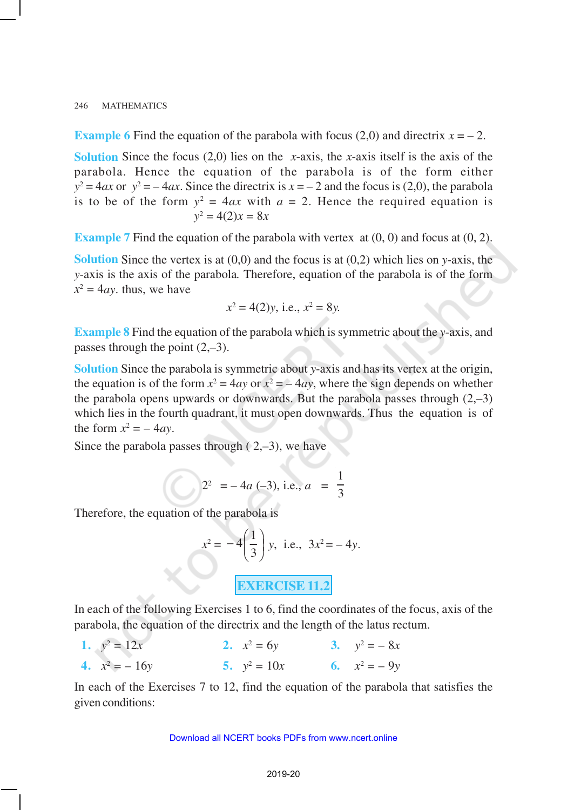**Example 6** Find the equation of the parabola with focus (2,0) and directrix  $x = -2$ .

**Solution** Since the focus (2,0) lies on the *x*-axis, the *x*-axis itself is the axis of the parabola. Hence the equation of the parabola is of the form either  $y^2 = 4ax$  or  $y^2 = -4ax$ . Since the directrix is  $x = -2$  and the focus is (2,0), the parabola is to be of the form  $y^2 = 4ax$  with  $a = 2$ . Hence the required equation is  $y^2 = 4(2)x = 8x$ 

**Example 7** Find the equation of the parabola with vertex at  $(0, 0)$  and focus at  $(0, 2)$ .

**Solution** Since the vertex is at (0,0) and the focus is at (0,2) which lies on *y*-axis, the *y*-axis is the axis of the parabola*.* Therefore, equation of the parabola is of the form  $x^2 = 4ay$ , thus, we have

$$
x^2 = 4(2)y
$$
, i.e.,  $x^2 = 8y$ .

**Example 8** Find the equation of the parabola which is symmetric about the *y*-axis, and passes through the point (2,–3).

**Solution** Since the parabola is symmetric about *y*-axis and has its vertex at the origin, the equation is of the form  $x^2 = 4ay$  or  $x^2 = -4ay$ , where the sign depends on whether the parabola opens upwards or downwards. But the parabola passes through  $(2,-3)$ which lies in the fourth quadrant, it must open downwards. Thus the equation is of the form  $x^2 = -4ay$ .

Since the parabola passes through  $(2,-3)$ , we have

$$
2^2 = -4a(-3)
$$
, i.e.,  $a = \frac{1}{3}$ 

Therefore, the equation of the parabola is

$$
x^2 = -4\left(\frac{1}{3}\right)y
$$
, i.e.,  $3x^2 = -4y$ .

**EXERCISE 11.2**

In each of the following Exercises 1 to 6, find the coordinates of the focus, axis of the parabola, the equation of the directrix and the length of the latus rectum.

1.  $y^2$  $x^2 = 6y$  **3.**  $y^2 = -8x$ **4.**  $x^2 = -16y$  **5.**  $y^2 = 10x$  **6.**  $x^2 = -9y$ 

In each of the Exercises 7 to 12, find the equation of the parabola that satisfies the given conditions: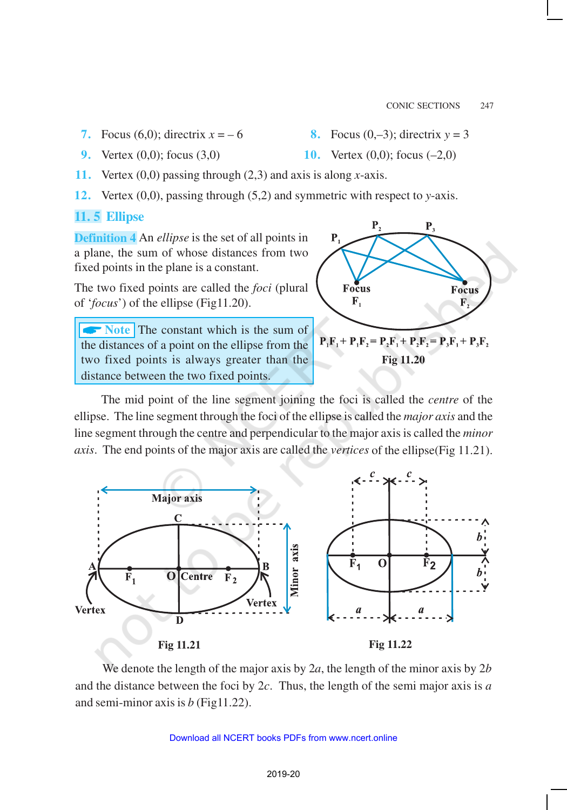**7.** Focus (6,0); directrix  $x = -6$ 

8. Focus 
$$
(0,-3)
$$
; directrix  $y = 3$ 

- **9.** Vertex (0,0); focus (3,0) **10.** Vertex (0,0); focus (-2,0)
- -
- **11.** Vertex (0,0) passing through (2,3) and axis is along *x*-axis.
- **12.** Vertex (0,0), passing through (5,2) and symmetric with respect to *y*-axis.

# **11. 5 Ellipse**

**Definition 4** An *ellipse* is the set of all points in a plane, the sum of whose distances from two fixed points in the plane is a constant.

The two fixed points are called the *foci* (plural of '*focus*') of the ellipse (Fig11.20).

**Note** The constant which is the sum of the distances of a point on the ellipse from the two fixed points is always greater than the distance between the two fixed points.



The mid point of the line segment joining the foci is called the *centre* of the ellipse. The line segment through the foci of the ellipse is called the *major axis* and the line segment through the centre and perpendicular to the major axis is called the *minor axis*. The end points of the major axis are called the *vertices* of the ellipse(Fig 11.21).



We denote the length of the major axis by 2*a*, the length of the minor axis by 2*b* and the distance between the foci by 2*c*. Thus, the length of the semi major axis is *a* and semi-minor axis is *b* (Fig11.22).

## Download all NCERT books PDFs from [www.ncert.online](http://www.ncert.online)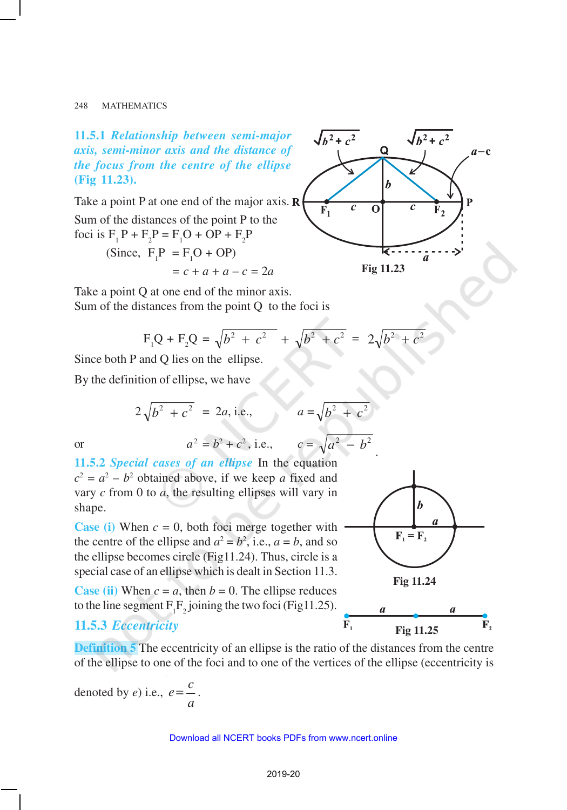**11.5.1** *Relationship between semi-major axis, semi-minor axis and the distance of the focus from the centre of the ellipse* **(Fig 11.23).**

Take a point P at one end of the major axis.  $\bf{R}$ Sum of the distances of the point P to the foci is  $F_1 P + F_2 P = F_1 O + OP + F_2 P$ (Since,  $F_1P = F_1O + OP$ )  $= c + a + a - c = 2a$ 





.

F.

Take a point Q at one end of the minor axis. Sum of the distances from the point Q to the foci is

$$
F_1Q + F_2Q = \sqrt{b^2 + c^2} + \sqrt{b^2 + c^2} = 2\sqrt{b^2 + c^2}
$$

Since both P and Q lies on the ellipse.

By the definition of ellipse, we have

$$
2\sqrt{b^2 + c^2} = 2a
$$
, i.e.,  $a = \sqrt{b^2 + c^2}$   
or  $a^2 = b^2 + c^2$ , i.e.,  $c = \sqrt{a^2 - b^2}$ 

**11.5.2** *Special cases of an ellipse* In the equation  $c^2 = a^2 - b^2$  obtained above, if we keep *a* fixed and vary *c* from 0 to *a*, the resulting ellipses will vary in shape.

**Case (i)** When  $c = 0$ , both foci merge together with the centre of the ellipse and  $a^2 = b^2$ , i.e.,  $a = b$ , and so the ellipse becomes circle (Fig11.24). Thus, circle is a special case of an ellipse which is dealt in Section 11.3.

**Case (ii)** When  $c = a$ , then  $b = 0$ . The ellipse reduces to the line segment  $F_1F_2$  joining the two foci (Fig11.25).

## **11.5.3** *Eccentricity*

**Definition 5** The eccentricity of an ellipse is the ratio of the distances from the centre of the ellipse to one of the foci and to one of the vertices of the ellipse (eccentricity is

denoted by *e*) i.e., 
$$
e = \frac{c}{a}
$$
.



**Fig 11.25**

F,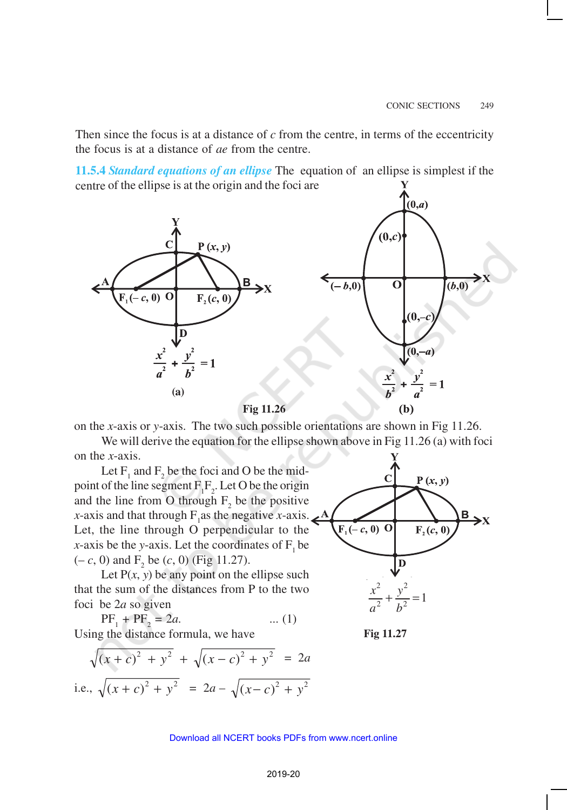Then since the focus is at a distance of *c* from the centre, in terms of the eccentricity the focus is at a distance of *ae* from the centre.

**11.5.4** *Standard equations of an ellipse* The equation of an ellipse is simplest if the centre of the ellipse is at the origin and the foci are



on the *x*-axis or *y*-axis. The two such possible orientations are shown in Fig 11.26.

We will derive the equation for the ellipse shown above in Fig 11.26 (a) with foci on the *x*-axis.

Let  $F_1$  and  $F_2$  be the foci and O be the midpoint of the line segment  $F_1F_2$ . Let O be the origin and the line from O through  $F_2$  be the positive *x*-axis and that through  $F_1$  as the negative *x*-axis. Let, the line through O perpendicular to the  $x$ -axis be the *y*-axis. Let the coordinates of  $F_1$  be  $(-c, 0)$  and  $F_2$  be  $(c, 0)$  (Fig 11.27).

Let  $P(x, y)$  be any point on the ellipse such that the sum of the distances from P to the two foci be 2*a* so given

$$
PF_1 + PF_2 = 2a.
$$
 ... (1)  
Using the distance formula, we have

$$
\sqrt{(x+c)^2 + y^2} + \sqrt{(x-c)^2 + y^2} = 2a
$$
  
i.e.,  $\sqrt{(x+c)^2 + y^2} = 2a - \sqrt{(x-c)^2 + y^2}$ 



**Fig 11.27**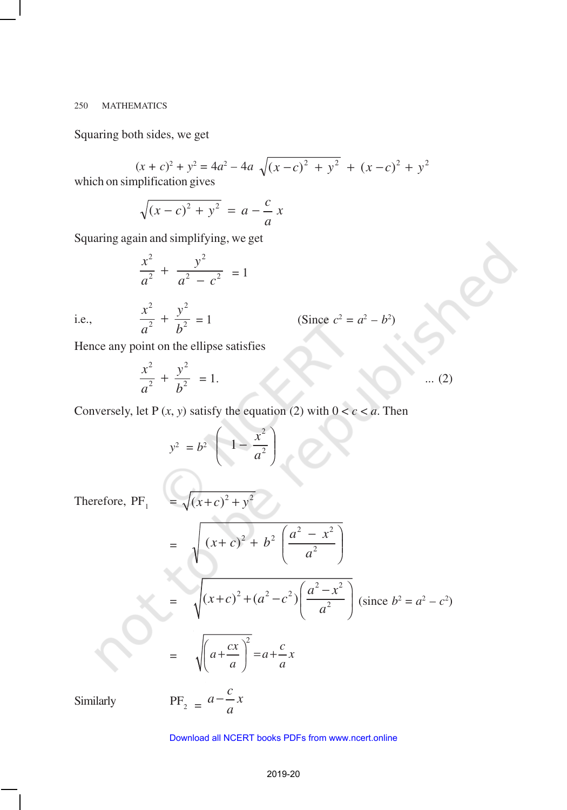Squaring both sides, we get

$$
(x + c)2 + y2 = 4a2 - 4a \sqrt{(x - c)2 + y2} + (x - c)2 + y2
$$
  
which on simplification gives

$$
\sqrt{(x-c)^2 + y^2} = a - \frac{c}{a}x
$$

Squaring again and simplifying, we get

$$
\frac{x^2}{a^2} + \frac{y^2}{a^2 - c^2} = 1
$$

i.e.,

$$
\frac{x^2}{a^2} + \frac{y^2}{b^2} =
$$

 $+\frac{y}{l^2} = 1$  (Since  $c^2 = a^2 - b^2$ )

Hence any point on the ellipse satisfies

$$
\frac{x^2}{a^2} + \frac{y^2}{b^2} = 1.
$$
 (2)

Conversely, let P  $(x, y)$  satisfy the equation (2) with  $0 < c < a$ . Then

$$
y^{2} = b^{2} \left( 1 - \frac{x^{2}}{a^{2}} \right)
$$
  
Therefore, PF<sub>1</sub> =  $\sqrt{(x+c)^{2} + y^{2}}$   
=  $\sqrt{(x+c)^{2} + b^{2} \left( \frac{a^{2} - x^{2}}{a^{2}} \right)}$   
=  $\sqrt{(x+c)^{2} + (a^{2} - c^{2}) \left( \frac{a^{2} - x^{2}}{a^{2}} \right)}$  (since  $b^{2} = a^{2} - c^{2}$ )  
=  $\sqrt{\left( a + \frac{cx}{a} \right)^{2}} = a + \frac{c}{a}x$ 

Similarly  $PF_2 =$ 

 $a - \frac{c}{x}$ *a* −

#### 2019-20 Download all NCERT books PDFs from [www.ncert.online](http://www.ncert.online)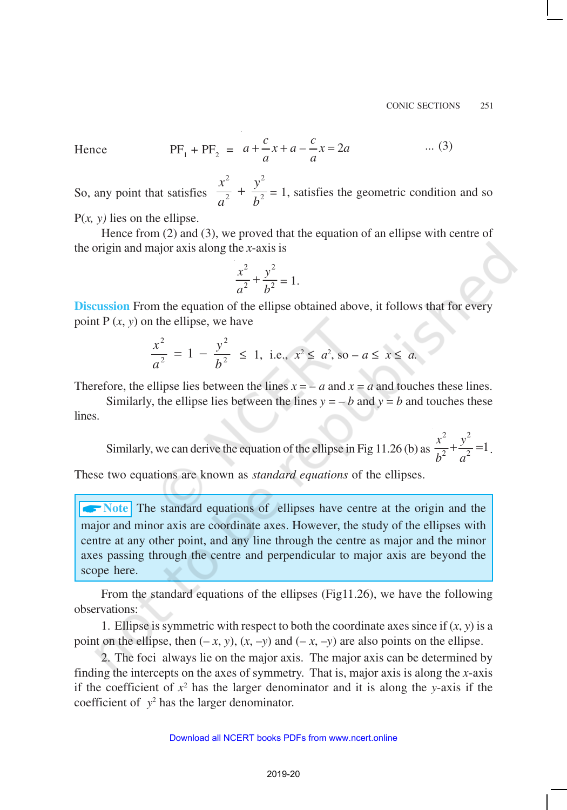Hence

$$
PF_1 + PF_2 = a + \frac{c}{a}x + a - \frac{c}{a}x = 2a \qquad \dots (3)
$$

So, any point that satisfies  $\frac{2}{a^2} + \frac{5}{b^2}$ 2 2 2 *b y a*  $\frac{x^2}{2} + \frac{y^2}{12} = 1$ , satisfies the geometric condition and so

 $P(x, y)$  lies on the ellipse.

Hence from (2) and (3), we proved that the equation of an ellipse with centre of the origin and major axis along the *x*-axis is

$$
\frac{x^2}{a^2} + \frac{y^2}{b^2} = 1.
$$

**Discussion** From the equation of the ellipse obtained above, it follows that for every point P (*x*, *y*) on the ellipse, we have

$$
\frac{x^2}{a^2} = 1 - \frac{y^2}{b^2} \le 1, \text{ i.e., } x^2 \le a^2, \text{ so } -a \le x \le a.
$$

Therefore, the ellipse lies between the lines  $x = -a$  and  $x = a$  and touches these lines.

Similarly, the ellipse lies between the lines  $y = -b$  and  $y = b$  and touches these lines.

Similarly, we can derive the equation of the ellipse in Fig 11.26 (b) as 2  $\sqrt{2}$  $\frac{x^2}{b^2} + \frac{y^2}{a^2} = 1$  $\frac{x}{b^2} + \frac{y}{a^2} = 1$ .

These two equations are known as *standard equations* of the ellipses.

**ANOTE** The standard equations of ellipses have centre at the origin and the major and minor axis are coordinate axes. However, the study of the ellipses with centre at any other point, and any line through the centre as major and the minor axes passing through the centre and perpendicular to major axis are beyond the scope here.

From the standard equations of the ellipses (Fig11.26), we have the following observations:

1. Ellipse is symmetric with respect to both the coordinate axes since if  $(x, y)$  is a point on the ellipse, then  $(-x, y)$ ,  $(x, -y)$  and  $(-x, -y)$  are also points on the ellipse.

2. The foci always lie on the major axis. The major axis can be determined by finding the intercepts on the axes of symmetry. That is, major axis is along the *x*-axis if the coefficient of  $x^2$  has the larger denominator and it is along the *y*-axis if the coefficient of  $y^2$  has the larger denominator.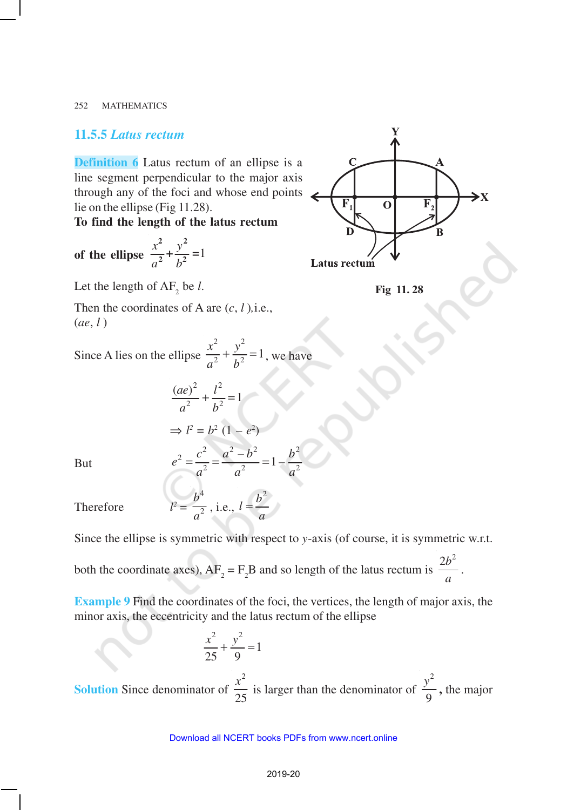#### **11.5.5** *Latus rectum*

**Definition 6** Latus rectum of an ellipse is a line segment perpendicular to the major axis through any of the foci and whose end points lie on the ellipse (Fig 11.28).

**To find the length of the latus rectum**

of the ellipse 
$$
\frac{x^2}{a^2} + \frac{y^2}{b^2} = 1
$$

Let the length of  $AF_2$  be *l*.

Then the coordinates of A are (*c*, *l* )*,*i.e., (*ae*, *l* )

Since A lies on the ellipse 2 , 2  $\frac{x^2}{a^2} + \frac{y^2}{b^2} = 1$  $\frac{x}{a^2} + \frac{y}{b^2} = 1$ , we have

 $^{2}$  =

4 2 *b*

 $\frac{a^2}{a^2}$ , i.e.,

$$
\frac{(ae)^2}{a^2} + \frac{l^2}{b^2} = 1
$$

 $\Rightarrow$  *l*<sup>2</sup> = *b*<sup>2</sup> (1 – *e*<sup>2</sup>)

 $2 - c^2 - a^2 - b^2 - 1$   $b^2$  $e^{2} = \frac{c^{2}}{a^{2}} = \frac{a^{2} - b^{2}}{a^{2}} = 1 - \frac{b^{2}}{a^{2}}$  $a^2$   $a^2$  a  $=\frac{c}{2}=\frac{a-b}{2}=$ 

> $l = \frac{b^2}{a^2}$ *a* =

But

Therefore *l*

Since the ellipse is symmetric with respect to *y*-axis (of course, it is symmetric w.r.t. both the coordinate axes),  $AF_2 = F_2B$  and so length of the latus rectum is  $2b^2$  $\frac{b}{a}$ .

**Example 9** Find the coordinates of the foci, the vertices, the length of major axis, the minor axis, the eccentricity and the latus rectum of the ellipse

$$
\frac{x^2}{25} + \frac{y^2}{9} = 1
$$

**Solution** Since denominator of 2 25  $\frac{x^2}{25}$  is larger than the denominator of 2 9  $\frac{y^2}{2}$ , the major





**Fig 11. 28**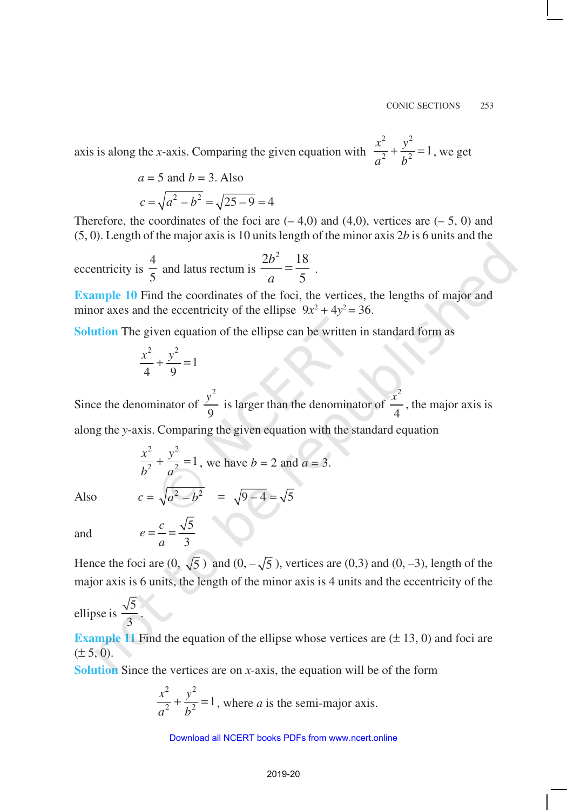axis is along the *x*-axis. Comparing the given equation with 2 , 2  $\frac{x^2}{a^2} + \frac{y^2}{b^2} = 1$  $\frac{x}{a^2} + \frac{y}{b^2} = 1$ , we get

$$
a = 5
$$
 and  $b = 3$ . Also  
 $c = \sqrt{a^2 - b^2} = \sqrt{25 - 9} = 4$ 

Therefore, the coordinates of the foci are  $(-4,0)$  and  $(4,0)$ , vertices are  $(-5, 0)$  and (5, 0). Length of the major axis is 10 units length of the minor axis 2*b* is 6 units and the

eccentricity is 
$$
\frac{4}{5}
$$
 and latus rectum is  $\frac{2b^2}{a} = \frac{18}{5}$ .

**Example 10** Find the coordinates of the foci, the vertices, the lengths of major and minor axes and the eccentricity of the ellipse  $9x^2 + 4y^2 = 36$ .

**Solution** The given equation of the ellipse can be written in standard form as

$$
\frac{x^2}{4} + \frac{y^2}{9} = 1
$$

Since the denominator of 2 9  $\frac{y^2}{2}$  is larger than the denominator of 2 4  $\frac{x^2}{4}$ , the major axis is along the *y*-axis. Comparing the given equation with the standard equation

$$
\frac{x^2}{b^2} + \frac{y^2}{a^2} = 1
$$
, we have  $b = 2$  and  $a = 3$ .  
Also  $c = \sqrt{a^2 - b^2} = \sqrt{9 - 4} = \sqrt{5}$ 

and  $e = \frac{c}{a} = \frac{\sqrt{5}}{3}$  $e = \frac{c}{c}$ *a*  $= -5$ 

Hence the foci are  $(0, \sqrt{5})$  and  $(0, -\sqrt{5})$ , vertices are  $(0, 3)$  and  $(0, -3)$ , length of the major axis is 6 units, the length of the minor axis is 4 units and the eccentricity of the

ellipse is  $\frac{\sqrt{5}}{3}$ .

**Example 11** Find the equation of the ellipse whose vertices are  $(\pm 13, 0)$  and foci are  $(\pm 5, 0).$ 

**Solution** Since the vertices are on *x*-axis, the equation will be of the form

$$
\frac{x^2}{a^2} + \frac{y^2}{b^2} = 1
$$
, where *a* is the semi-major axis.

#### Download all NCERT books PDFs from [www.ncert.online](http://www.ncert.online)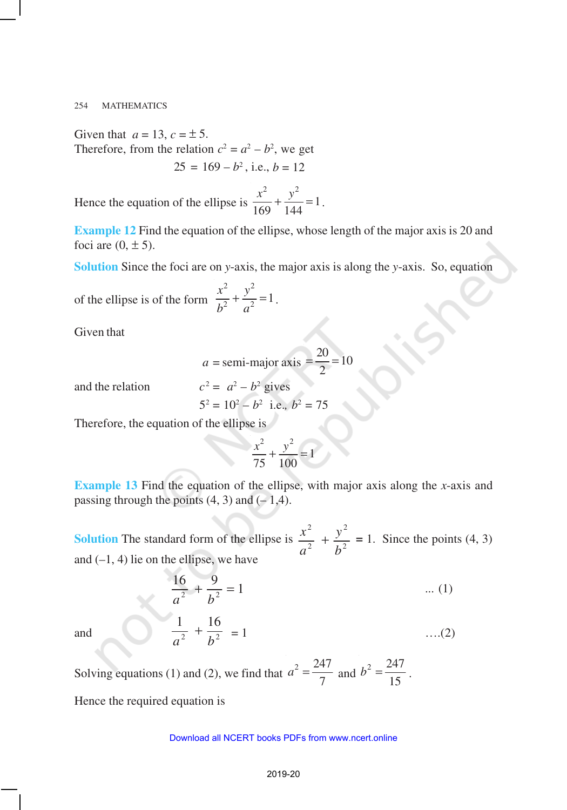Given that  $a = 13$ ,  $c = \pm 5$ . Therefore, from the relation  $c^2 = a^2 - b^2$ , we get

$$
25 = 169 - b^2, \text{ i.e., } b = 12
$$

Hence the equation of the ellipse is 2 2 1 169 144  $\frac{x^2}{60} + \frac{y^2}{144} = 1$ .

**Example 12** Find the equation of the ellipse, whose length of the major axis is 20 and foci are  $(0, \pm 5)$ .

**Solution** Since the foci are on *y*-axis, the major axis is along the *y*-axis. So, equation

of the ellipse is of the form 
$$
\frac{x^2}{b^2} + \frac{y^2}{a^2} = 1
$$
.

Given that

 $a =$ semi-major axis  $=$  $\frac{20}{2} = 10$ 2  $=\frac{20}{3}$  =

and the relation *c*

$$
c^2 = a^2 - b^2
$$
 gives  
5<sup>2</sup> = 10<sup>2</sup> – b<sup>2</sup> i.e., b<sup>2</sup> = 75

Therefore, the equation of the ellipse is

$$
\frac{x^2}{75} + \frac{y^2}{100} = 1
$$

**Example 13** Find the equation of the ellipse, with major axis along the *x*-axis and passing through the points  $(4, 3)$  and  $(-1, 4)$ .

**Solution** The standard form of the ellipse is  $\frac{x}{a^2} + \frac{y}{b^2}$ 2 2 2 *b y a*  $\frac{x^2}{2} + \frac{y^2}{12} = 1$ . Since the points (4, 3) and  $(-1, 4)$  lie on the ellipse, we have

$$
\frac{16}{a^2} + \frac{9}{b^2} = 1
$$
 ... (1)

and 
$$
\frac{1}{a^2} + \frac{16}{b^2} = 1
$$
 ....(2)

Solving equations (1) and (2), we find that  $a^2 = \frac{247}{7}$  and  $b^2 = \frac{247}{15}$ .

Hence the required equation is

#### Download all NCERT books PDFs from [www.ncert.online](http://www.ncert.online)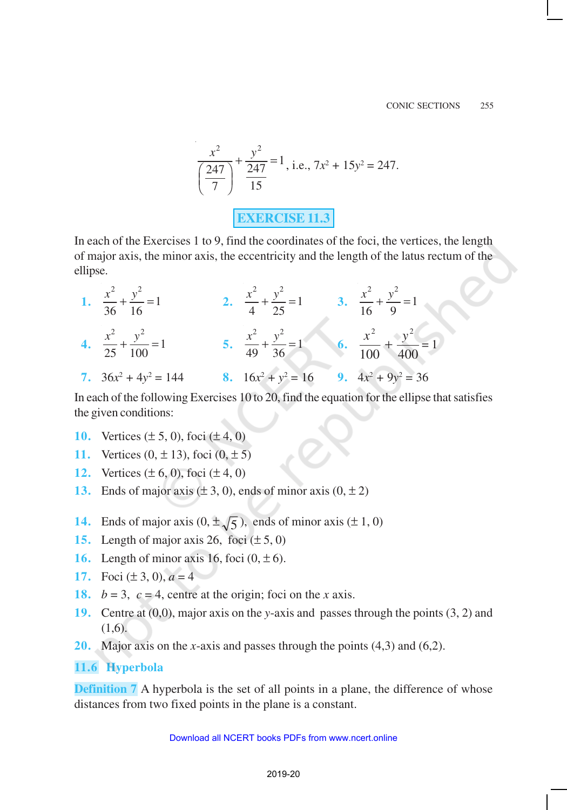$$
\frac{x^2}{\left(\frac{247}{7}\right)} + \frac{y^2}{\frac{247}{15}} = 1
$$
, i.e.,  $7x^2 + 15y^2 = 247$ .

**EXERCISE 11.3**

In each of the Exercises 1 to 9, find the coordinates of the foci, the vertices, the length of major axis, the minor axis, the eccentricity and the length of the latus rectum of the ellipse.

**1.** 2  $\sqrt{2}$ 1 36 16  $x^2$ , *y*  $+\frac{y}{16} = 1$  2. 2  $\sqrt{2}$ 1 4 25  $rac{x^2}{4} + \frac{y^2}{25} = 1$  3. 2  $\sqrt{2}$ 1 16 9  $\frac{x^2}{16} + \frac{y^2}{8} =$ **4.** 2 2 1 25 100  $x^2$ , *y*  $+\frac{y}{100} = 1$  5. 2 , 2 1 49 36  $rac{x^2}{40} + \frac{y^2}{26} = 1$  6. 100 400  $\frac{x^2}{20} + \frac{y^2}{100} = 1$ **7.**  $36x^2 + 4y^2 = 144$  **8.**  $16x^2 + y^2 = 16$  **9.**  $4x^2 + 9y^2 = 36$ 

In each of the following Exercises 10 to 20, find the equation for the ellipse that satisfies the given conditions:

- **10.** Vertices  $(\pm 5, 0)$ , foci  $(\pm 4, 0)$
- **11.** Vertices  $(0, \pm 13)$ , foci  $(0, \pm 5)$
- **12.** Vertices  $(\pm 6, 0)$ , foci  $(\pm 4, 0)$
- **13.** Ends of major axis  $(\pm 3, 0)$ , ends of minor axis  $(0, \pm 2)$
- **14.** Ends of major axis  $(0, \pm \sqrt{5})$ , ends of minor axis  $(\pm 1, 0)$
- **15.** Length of major axis 26, foci  $(\pm 5, 0)$
- 16. Length of minor axis 16, foci  $(0, \pm 6)$ .
- **17.** Foci  $(\pm 3, 0)$ ,  $a = 4$
- 18.  $b = 3$ ,  $c = 4$ , centre at the origin; foci on the *x* axis.
- **19.** Centre at (0,0), major axis on the *y*-axis and passes through the points (3, 2) and (1,6).
- **20.** Major axis on the *x*-axis and passes through the points (4,3) and (6,2).

## **11.6 Hyperbola**

**Definition 7** A hyperbola is the set of all points in a plane, the difference of whose distances from two fixed points in the plane is a constant.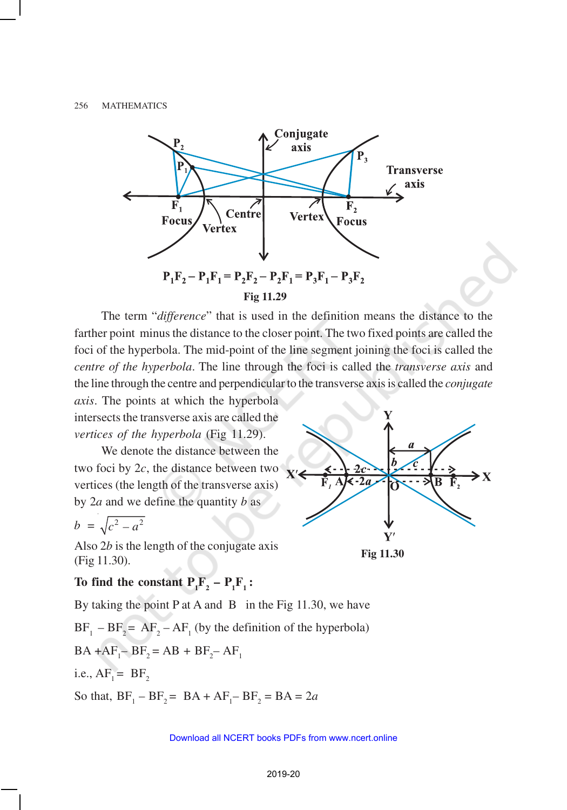

The term "*difference*" that is used in the definition means the distance to the farther point minus the distance to the closer point. The two fixed points are called the foci of the hyperbola. The mid-point of the line segment joining the foci is called the *centre of the hyperbola*. The line through the foci is called the *transverse axis* and the line through the centre and perpendicular to the transverse axis is called the *conjugate*

*axis*. The points at which the hyperbola intersects the transverse axis are called the *vertices of the hyperbola* (Fig 11.29).

We denote the distance between the two foci by 2*c*, the distance between two vertices (the length of the transverse axis) by 2*a* and we define the quantity *b* as

$$
b = \sqrt{c^2 - a^2}
$$

Also 2*b* is the length of the conjugate axis (Fig 11.30).





By taking the point P at A and B in the Fig 11.30, we have  $BF_1 - BF_2 = AF_2 - AF_1$  (by the definition of the hyperbola)  $BA + AF_1 - BF_2 = AB + BF_2 - AF_1$ i.e.,  $AF_1 = BF_2$ So that,  $BF_1 - BF_2 = BA + AF_1 - BF_2 = BA = 2a$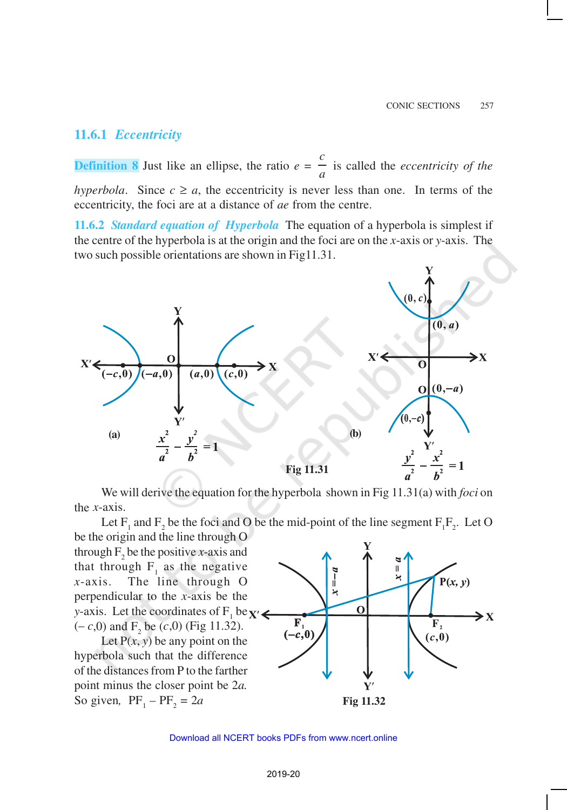#### **11.6.1** *Eccentricity*

**Definition 8** Just like an ellipse, the ratio *e* = *c a* is called the *eccentricity of the hyperbola.* Since  $c \ge a$ , the eccentricity is never less than one. In terms of the eccentricity, the foci are at a distance of *ae* from the centre.

**11.6.2** *Standard equation of Hyperbola* The equation of a hyperbola is simplest if the centre of the hyperbola is at the origin and the foci are on the *x*-axis or *y*-axis. The two such possible orientations are shown in Fig11.31.



We will derive the equation for the hyperbola shown in Fig 11.31(a) with *foci* on the *x*-axis.

Let  $F_1$  and  $F_2$  be the foci and O be the mid-point of the line segment  $F_1F_2$ . Let O be the origin and the line through O

through  $F_2$  be the positive *x*-axis and that through  $F_1$  as the negative *x*-axis. The line through O perpendicular to the *x*-axis be the *y*-axis. Let the coordinates of  $F_1$  be  $(-c,0)$  and  $F_2$  be  $(c,0)$  (Fig 11.32).

Let  $P(x, y)$  be any point on the hyperbola such that the difference of the distances from P to the farther point minus the closer point be 2*a.* So given,  $PF_1 - PF_2 = 2a$ 

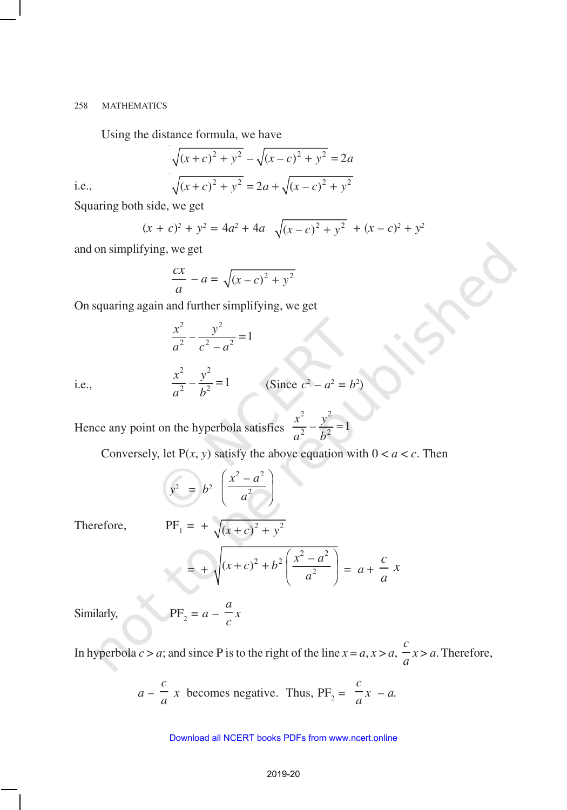Using the distance formula, we have

i.e., 
$$
\sqrt{(x + c)^2 + y^2} - \sqrt{(x - c)^2 + y^2} = 2a
$$

$$
\sqrt{(x + c)^2 + y^2} = 2a + \sqrt{(x - c)^2 + y^2}
$$

Squaring both side, we get

$$
(x + c)2 + y2 = 4a2 + 4a \sqrt{(x - c)2 + y2} + (x - c)2 + y2
$$

and on simplifying, we get

$$
\frac{cx}{a} - a = \sqrt{(x - c)^2 + y^2}
$$

On squaring again and further simplifying, we get

2<sup>2</sup>  $\frac{x^2}{a^2} - \frac{y^2}{a^2} = 1$  $a^2$   $c^2 - a$ =

i.e.,

$$
\frac{x^2}{a^2} - \frac{y^2}{b^2} = 1
$$
 (Since  $c^2 - a^2 = b^2$ )

Hence any point on the hyperbola satisfies 2  $\sqrt{2}$  $\frac{x^2}{a^2} - \frac{y^2}{b^2} = 1$  $\frac{x}{a^2} - \frac{y}{b^2} = 1$ 

Conversely, let  $P(x, y)$  satisfy the above equation with  $0 < a < c$ . Then

$$
y^2 = b^2 \left( \frac{x^2 - a^2}{a^2} \right)
$$

Therefore,

$$
PF_1 = + \sqrt{(x+c)^2 + y^2}
$$
  
= +  $\sqrt{(x+c)^2 + b^2 \left(\frac{x^2 - a^2}{a^2}\right)}$  =  $a + \frac{c}{a}x$ 

Similarly,  $PF_2 = a$ *a*  $\frac{c}{c}$ 

In hyperbola  $c > a$ ; and since P is to the right of the line  $x = a, x > a$ , *c*  $\frac{a}{a}$  *x* > *a*. Therefore,

$$
a - \frac{c}{a} x
$$
 becomes negative. Thus,  $PF_2 = \frac{c}{a}x - a$ .

#### Download all NCERT books PDFs from [www.ncert.online](http://www.ncert.online)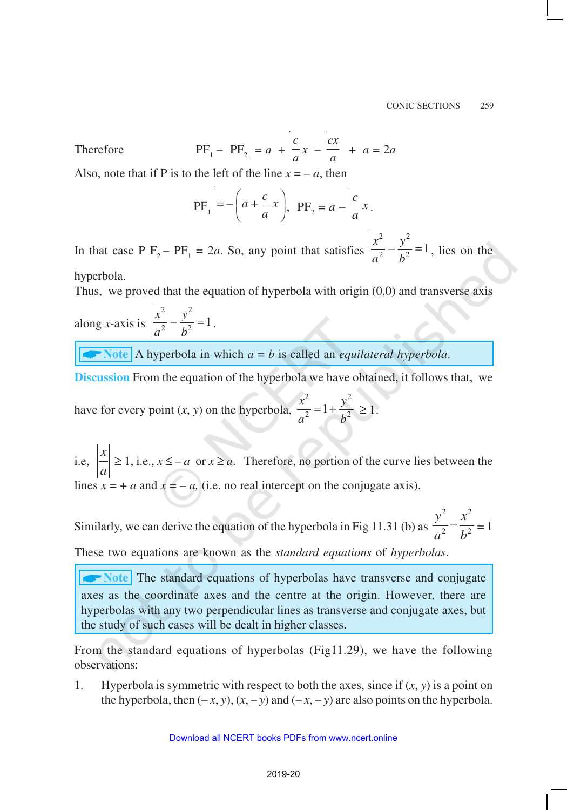Therefore  $-$  PF<sub>2</sub> =  $a$  + *c*  $\frac{1}{a}x$  – *cx*  $\frac{a}{a}$  + *a* = 2*a* 

Also, note that if P is to the left of the line  $x = -a$ , then

$$
PF_1 = -\left(a + \frac{c}{a}x\right), PF_2 = a - \frac{c}{a}x.
$$

In that case  $P F_2 - P F_1 = 2a$ . So, any point that satisfies 2 , 2  $\frac{x^2}{a^2} - \frac{y^2}{b^2} = 1$  $\frac{x}{a^2} - \frac{y}{b^2} = 1$ , lies on the

hyperbola.

Thus, we proved that the equation of hyperbola with origin (0,0) and transverse axis

along *x*-axis is 2  $\sqrt{2}$  $\frac{x^2}{a^2} - \frac{y^2}{b^2} = 1$  $rac{a^2}{a^2} - \frac{y}{b^2} = 1$ .

A**Note** A hyperbola in which *a* = *b* is called an *equilateral hyperbola*.

**Discussion** From the equation of the hyperbola we have obtained, it follows that, we

have for every point (*x*, *y*) on the hyperbola, 2 <sup>2</sup>  $\frac{x^2}{a^2} = 1 + \frac{y^2}{b^2}$  $\frac{x}{a^2} = 1 + \frac{y}{b^2} \ge 1.$ 

i.e, *a x*  $\geq 1$ , i.e.,  $x \leq -a$  or  $x \geq a$ . Therefore, no portion of the curve lies between the lines  $x = +a$  and  $x = -a$ , (i.e. no real intercept on the conjugate axis).

Similarly, we can derive the equation of the hyperbola in Fig 11.31 (b) as 2  $\sim^2$ 2  $h^2$  $y^2$  *x*  $a^2$  *b*  $-\frac{x}{1^2} = 1$ 

These two equations are known as the *standard equations* of *hyperbolas*.

**ANote** The standard equations of hyperbolas have transverse and conjugate axes as the coordinate axes and the centre at the origin. However, there are hyperbolas with any two perpendicular lines as transverse and conjugate axes, but the study of such cases will be dealt in higher classes.

From the standard equations of hyperbolas (Fig11.29), we have the following observations:

1. Hyperbola is symmetric with respect to both the axes, since if  $(x, y)$  is a point on the hyperbola, then  $(-x, y)$ ,  $(x, -y)$  and  $(-x, -y)$  are also points on the hyperbola.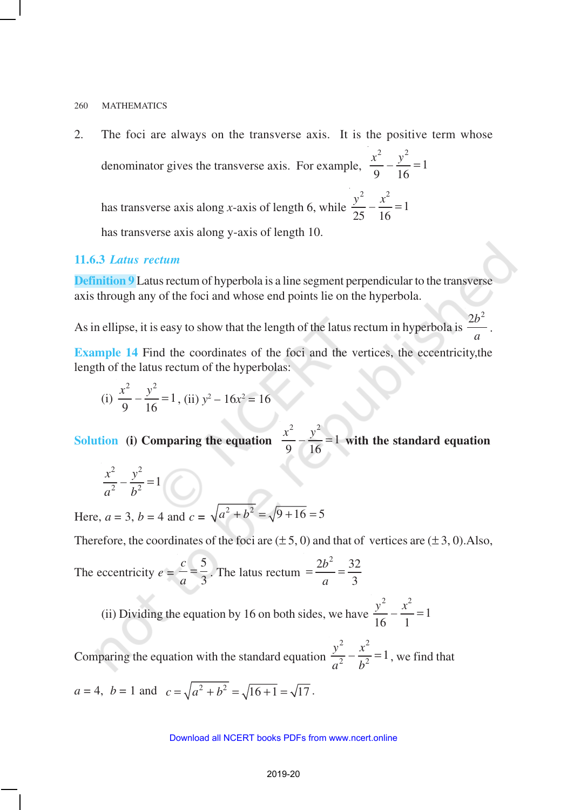2. The foci are always on the transverse axis. It is the positive term whose denominator gives the transverse axis. For example, 2 , 2 1 9 16  $\frac{x^2}{2} - \frac{y^2}{16} =$ 

has transverse axis along *x*-axis of length 6, while 2  $\sim^2$ 1 25 16  $\frac{y^2}{25} - \frac{x^2}{15} =$ 

has transverse axis along y-axis of length 10.

#### **11.6.3** *Latus rectum*

**Definition 9** Latus rectum of hyperbola is a line segment perpendicular to the transverse axis through any of the foci and whose end points lie on the hyperbola.

As in ellipse, it is easy to show that the length of the latus rectum in hyperbola is  $2b^2$  $\frac{a}{a}$ .

**Example 14** Find the coordinates of the foci and the vertices, the eccentricity, the length of the latus rectum of the hyperbolas:

(i) 
$$
\frac{x^2}{9} - \frac{y^2}{16} = 1
$$
, (ii)  $y^2 - 16x^2 = 16$ 

**Solution (i) Comparing the equation**  2  $\sqrt{2}$ 1 9 16  $\frac{x^2}{2} - \frac{y^2}{x^2} = 1$  with the standard equation

$$
\frac{x^2}{a^2} - \frac{y^2}{b^2} = 1
$$

Here,  $a = 3$ ,  $b = 4$  and  $c = \sqrt{a^2 + b^2} = \sqrt{9 + 16} = 5$ 

Therefore, the coordinates of the foci are  $(\pm 5, 0)$  and that of vertices are  $(\pm 3, 0)$ . Also,

The eccentricity  $e =$ 5 3 *c*  $\frac{c}{a} = \frac{5}{3}$ . The latus rectum  $= \frac{2b^2}{a} = \frac{32}{3}$ 3 *b a*  $=\frac{20}{10}$ 

(ii) Dividing the equation by 16 on both sides, we have 2  $\sim^2$ 1 16 1  $\frac{y^2}{46} - \frac{x^2}{4} =$ 

Comparing the equation with the standard equation 2  $\sim^2$  $\frac{y^2}{a^2} - \frac{x^2}{b^2} = 1$  $\frac{y}{a^2} - \frac{x}{b^2} = 1$ , we find that

 $a = 4$ ,  $b = 1$  and  $c = \sqrt{a^2 + b^2} = \sqrt{16 + 1} = \sqrt{17}$ .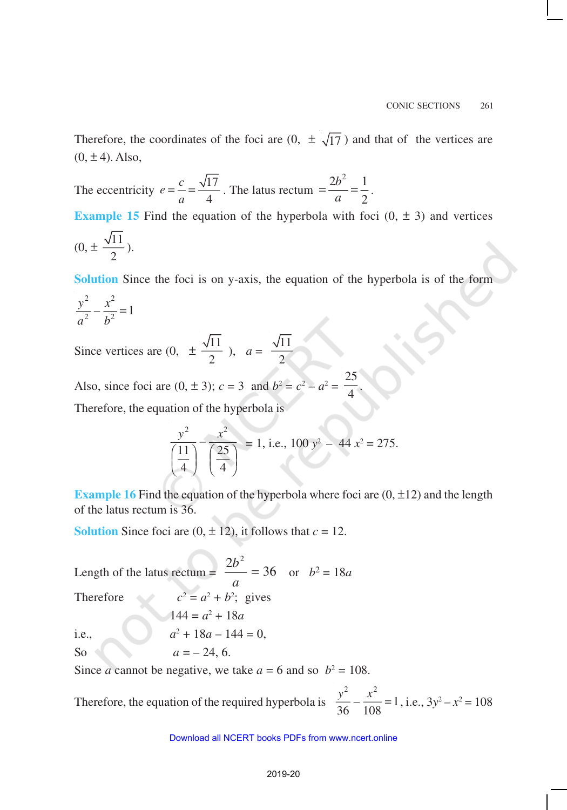Therefore, the coordinates of the foci are  $(0, \pm \sqrt{17})$  and that of the vertices are  $(0, \pm 4)$ . Also,

The eccentricity 
$$
e = \frac{c}{a} = \frac{\sqrt{17}}{4}
$$
. The latus rectum  $= \frac{2b^2}{a} = \frac{1}{2}$ .

**Example 15** Find the equation of the hyperbola with foci  $(0, \pm 3)$  and vertices  $(0, \pm \frac{\sqrt{11}}{2})$  $\frac{1}{2}$ ).

**Solution** Since the foci is on y-axis, the equation of the hyperbola is of the form 2  $\sim^2$  $rac{y^2}{a^2} - \frac{x^2}{b^2} = 1$ 

Since vertices are  $(0, \pm \frac{\sqrt{11}}{2})$  $\frac{11}{2}$ ,  $a = \frac{\sqrt{11}}{2}$ 2

Also, since foci are  $(0, \pm 3)$ ;  $c = 3$  and  $b^2 = c^2 - a^2 = 1$ 25 4 .

Therefore, the equation of the hyperbola is

$$
\frac{y^2}{\left(\frac{11}{4}\right)} - \frac{x^2}{\left(\frac{25}{4}\right)} = 1, \text{ i.e., } 100 y^2 - 44 x^2 = 275.
$$

**Example 16** Find the equation of the hyperbola where foci are  $(0, \pm 12)$  and the length of the latus rectum is 36.

**Solution** Since foci are  $(0, \pm 12)$ , it follows that  $c = 12$ .

Length of the latus rectum =  $\frac{2b^2}{ }$  = 36 = *a b* or  $b^2 = 18a$ Therefore  $= a^2 + b^2$ ; gives  $144 = a^2 + 18a$ i.e., *<sup>a</sup>*  $x^2 + 18a - 144 = 0$ , So  $a = -24, 6$ .

Since *a* cannot be negative, we take  $a = 6$  and so  $b^2 = 108$ .

Therefore, the equation of the required hyperbola is 2  $x^2$  $\frac{5}{36} - \frac{1}{108} = 1$  $\frac{y^2}{26} - \frac{x^2}{100} = 1$ , i.e.,  $3y^2 - x^2 = 108$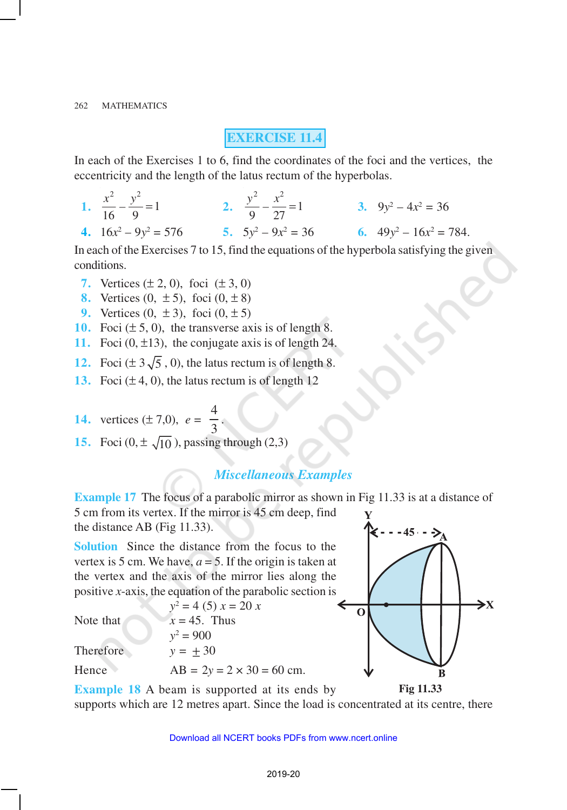# **EXERCISE 11.4**

In each of the Exercises 1 to 6, find the coordinates of the foci and the vertices, the eccentricity and the length of the latus rectum of the hyperbolas.

**1.** 2 , 2 1 16 9  $x^2$  *y*  $-\frac{y}{2} = 1$  2. 2  $\sim^2$ 1 9 27  $y^2$  *x*  $-\frac{x}{27} = 1$  3.  $9y^2 - 4x^2 = 36$ **4.**  $16x^2 - 9y^2 = 576$  **5.**  $5y^2 - 9x^2 = 36$  **6.**  $49y^2 - 16x^2 = 784$ .

In each of the Exercises 7 to 15, find the equations of the hyperbola satisfying the given conditions.

- **7.** Vertices  $(\pm 2, 0)$ , foci  $(\pm 3, 0)$
- **8.** Vertices  $(0, \pm 5)$ , foci  $(0, \pm 8)$
- **9.** Vertices  $(0, \pm 3)$ , foci  $(0, \pm 5)$
- **10.** Foci  $(\pm 5, 0)$ , the transverse axis is of length 8.
- **11.** Foci  $(0, \pm 13)$ , the conjugate axis is of length 24.
- **12.** Foci  $(\pm 3\sqrt{5}, 0)$ , the latus rectum is of length 8.
- 13. Foci  $(\pm 4, 0)$ , the latus rectum is of length 12
- **14.** vertices  $(\pm 7,0)$ ,  $e =$  $\frac{4}{2}$ .
- 3 **15.** Foci  $(0, \pm \sqrt{10})$ , passing through  $(2,3)$

## *Miscellaneous Examples*

**Example 17** The focus of a parabolic mirror as shown in Fig 11.33 is at a distance of 5 cm from its vertex. If the mirror is 45 cm deep, find the distance AB (Fig 11.33).

**Solution** Since the distance from the focus to the vertex is 5 cm. We have,  $a = 5$ . If the origin is taken at the vertex and the axis of the mirror lies along the positive *x*-axis, the equation of the parabolic section is

 $y^2 = 4$  (5)  $x = 20$  *x* Note that  $x = 45$ . Thus  $y^2 = 900$ Therefore  $y = +30$ Hence  $AB = 2y = 2 \times 30 = 60$  cm.



**Fig 11.33 Example 18** A beam is supported at its ends by supports which are 12 metres apart. Since the load is concentrated at its centre, there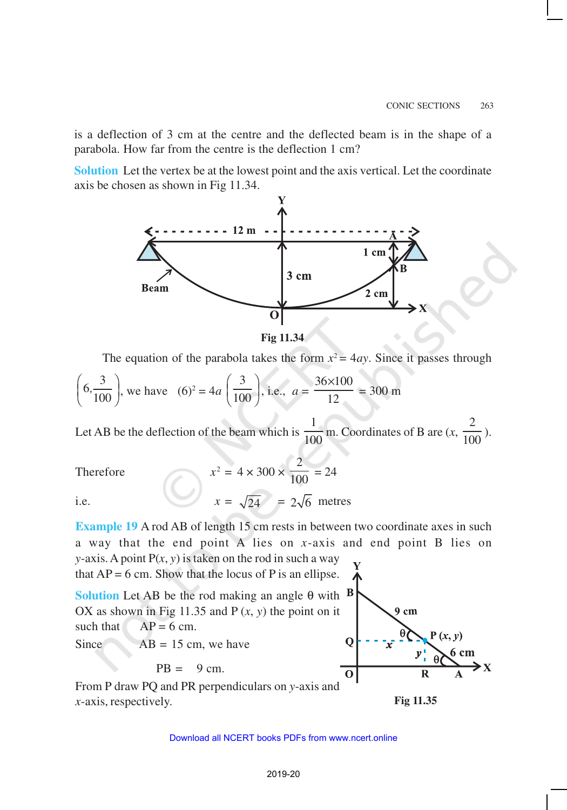is a deflection of 3 cm at the centre and the deflected beam is in the shape of a parabola. How far from the centre is the deflection 1 cm?

**Solution** Let the vertex be at the lowest point and the axis vertical. Let the coordinate axis be chosen as shown in Fig 11.34.



**Fig 11.34**

The equation of the parabola takes the form  $x^2 = 4ay$ . Since it passes through

$$
\left(6, \frac{3}{100}\right)
$$
, we have  $(6)^2 = 4a \left(\frac{3}{100}\right)$ , i.e.,  $a = \frac{36 \times 100}{12} = 300$  m

Let AB be the deflection of the beam which is 1  $\frac{100}{100}$  m. Coordinates of B are  $(x,$ 2  $\frac{100}{}$ ).

Therefore *x*

Therefore  
i.e. 
$$
x^2 = 4 \times 300 \times \frac{2}{100} = 24
$$

$$
x = \sqrt{24} = 2\sqrt{6}
$$
 metres

**Example 19** A rod AB of length 15 cm rests in between two coordinate axes in such a way that the end point A lies on *x*-axis and end point B lies on *y*-axis. A point  $P(x, y)$  is taken on the rod in such a way that  $AP = 6$  cm. Show that the locus of P is an ellipse.

**Solution** Let AB be the rod making an angle  $\theta$  with  $\beta$ OX as shown in Fig 11.35 and  $P(x, y)$  the point on it such that  $AP = 6$  cm.

Since  $AB = 15$  cm, we have

$$
PB = 9 \text{ cm}.
$$

From P draw PQ and PR perpendiculars on *y*-axis and *x*-axis, respectively. **Fig 11.35**

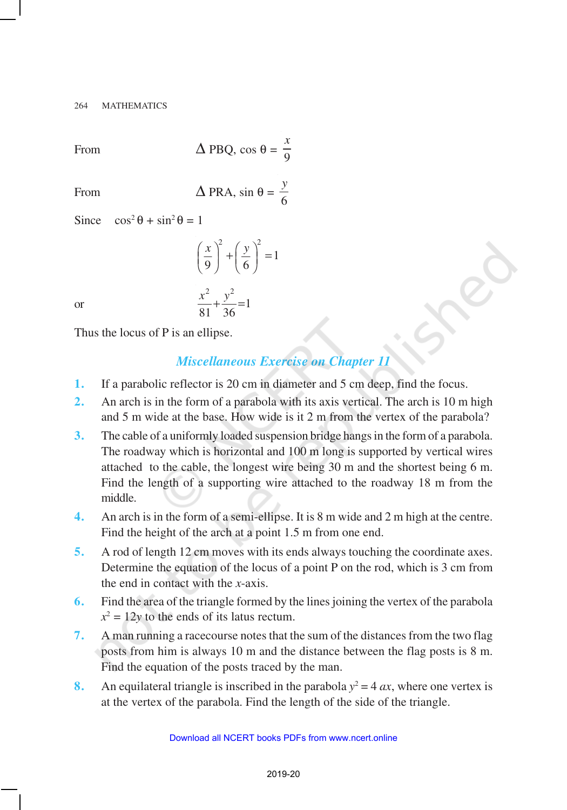From 
$$
\triangle
$$
 PBQ,  $\cos \theta = \frac{x}{9}$ 

From 
$$
\triangle
$$
 PRA,  $\sin \theta = \frac{y}{6}$ 

Since  $\cos^2 \theta + \sin^2 \theta = 1$ 

$$
\left(\frac{x}{9}\right)^2 + \left(\frac{y}{6}\right)^2 = 1
$$

$$
\frac{x^2}{9} + \frac{y^2}{25} = 1
$$

81 36

1

or

Thus the locus of P is an ellipse.

# *Miscellaneous Exercise on Chapter 11*

- **1.** If a parabolic reflector is 20 cm in diameter and 5 cm deep, find the focus.
- **2.** An arch is in the form of a parabola with its axis vertical. The arch is 10 m high and 5 m wide at the base. How wide is it 2 m from the vertex of the parabola?
- **3.** The cable of a uniformly loaded suspension bridge hangs in the form of a parabola. The roadway which is horizontal and 100 m long is supported by vertical wires attached to the cable, the longest wire being 30 m and the shortest being 6 m. Find the length of a supporting wire attached to the roadway 18 m from the middle.
- **4.** An arch is in the form of a semi-ellipse. It is 8 m wide and 2 m high at the centre. Find the height of the arch at a point 1.5 m from one end.
- **5.** A rod of length 12 cm moves with its ends always touching the coordinate axes. Determine the equation of the locus of a point P on the rod, which is 3 cm from the end in contact with the *x*-axis.
- **6.** Find the area of the triangle formed by the lines joining the vertex of the parabola  $x^2 = 12y$  to the ends of its latus rectum.
- **7.** A man running a racecourse notes that the sum of the distances from the two flag posts from him is always 10 m and the distance between the flag posts is 8 m. Find the equation of the posts traced by the man.
- **8.** An equilateral triangle is inscribed in the parabola  $y^2 = 4$  *ax*, where one vertex is at the vertex of the parabola. Find the length of the side of the triangle.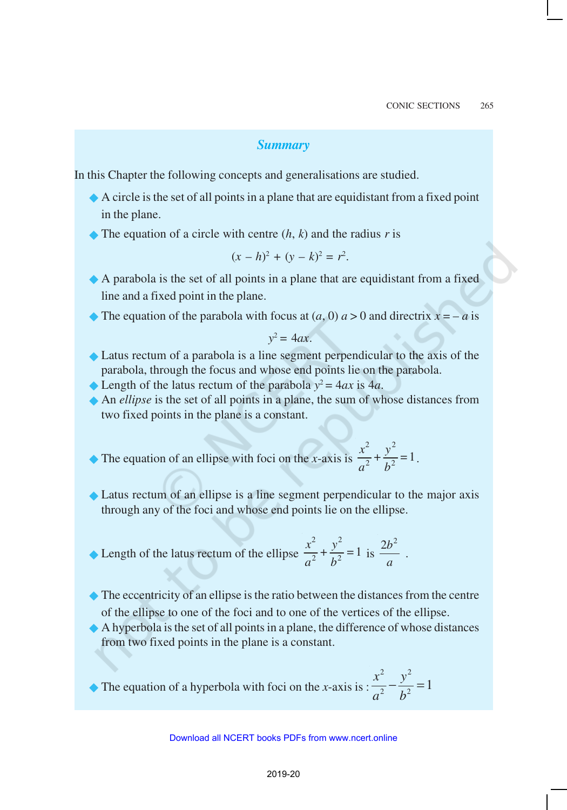### *Summary*

In this Chapter the following concepts and generalisations are studied.

- $\triangle$  A circle is the set of all points in a plane that are equidistant from a fixed point in the plane.
- $\triangle$  The equation of a circle with centre  $(h, k)$  and the radius *r* is

$$
(x - h)^2 + (y - k)^2 = r^2.
$$

- ®A parabola is the set of all points in a plane that are equidistant from a fixed line and a fixed point in the plane.
- The equation of the parabola with focus at  $(a, 0)$   $a > 0$  and directrix  $x = -a$  is

$$
y^2 = 4ax.
$$

- ®Latus rectum of a parabola is a line segment perpendicular to the axis of the parabola, through the focus and whose end points lie on the parabola.
- riangleright of the latus rectum of the parabola  $y^2 = 4ax$  is 4*a*.
- ®An *ellipse* is the set of all points in a plane, the sum of whose distances from two fixed points in the plane is a constant.
- The equation of an ellipse with foci on the *x*-axis is  $\frac{x^2}{2} + \frac{y^2}{12}$  $\frac{x^2}{a^2} + \frac{y^2}{b^2} = 1$  $\frac{a^2}{a^2} + \frac{b^2}{b^2} = 1$ .
- ®Latus rectum of an ellipse is a line segment perpendicular to the major axis through any of the foci and whose end points lie on the ellipse.
- ► Length of the latus rectum of the ellipse <math>\frac{x^2}{a^2} + \frac{y^2}{b^2} = 1</math> is  $2b^2$  $\frac{b}{a}$ .
- $\blacklozenge$  The eccentricity of an ellipse is the ratio between the distances from the centre of the ellipse to one of the foci and to one of the vertices of the ellipse.
- ®A hyperbola is the set of all points in a plane, the difference of whose distances from two fixed points in the plane is a constant.

The equation of a hyperbola with foci on the *x*-axis is :  $\frac{x^2}{2} - \frac{y^2}{12}$  $\frac{x^2}{a^2} - \frac{y^2}{b^2} = 1$  $a^2$  *b*  $-\frac{y}{2}$  =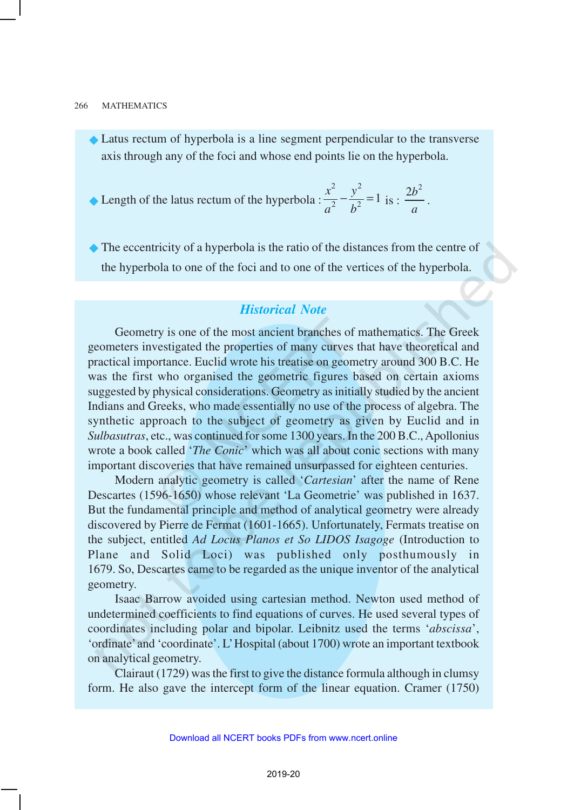®Latus rectum of hyperbola is a line segment perpendicular to the transverse axis through any of the foci and whose end points lie on the hyperbola.

► Length of the latus rectum of the hyperbola : 
$$
\frac{x^2}{a^2} - \frac{y^2}{b^2} = 1
$$
 is :  $\frac{2b^2}{a}$ .

 $\blacklozenge$  The eccentricity of a hyperbola is the ratio of the distances from the centre of the hyperbola to one of the foci and to one of the vertices of the hyperbola.

## *Historical Note*

Geometry is one of the most ancient branches of mathematics. The Greek geometers investigated the properties of many curves that have theoretical and practical importance. Euclid wrote his treatise on geometry around 300 B.C. He was the first who organised the geometric figures based on certain axioms suggested by physical considerations. Geometry as initially studied by the ancient Indians and Greeks, who made essentially no use of the process of algebra. The synthetic approach to the subject of geometry as given by Euclid and in *Sulbasutras*, etc., was continued for some 1300 years. In the 200 B.C., Apollonius wrote a book called '*The Conic*' which was all about conic sections with many important discoveries that have remained unsurpassed for eighteen centuries.

Modern analytic geometry is called '*Cartesian*' after the name of Rene Descartes (1596-1650) whose relevant 'La Geometrie' was published in 1637. But the fundamental principle and method of analytical geometry were already discovered by Pierre de Fermat (1601-1665). Unfortunately, Fermats treatise on the subject, entitled *Ad Locus Planos et So LIDOS Isagoge* (Introduction to Plane and Solid Loci) was published only posthumously in 1679. So, Descartes came to be regarded as the unique inventor of the analytical geometry.

Isaac Barrow avoided using cartesian method. Newton used method of undetermined coefficients to find equations of curves. He used several types of coordinates including polar and bipolar. Leibnitz used the terms '*abscissa*', 'ordinate' and 'coordinate'. L' Hospital (about 1700) wrote an important textbook on analytical geometry.

Clairaut (1729) was the first to give the distance formula although in clumsy form. He also gave the intercept form of the linear equation. Cramer (1750)